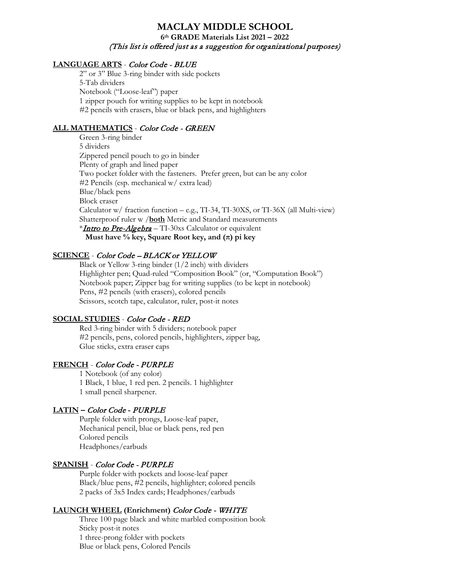# **MACLAY MIDDLE SCHOOL 6th GRADE Materials List 2021 – 2022** (This list is offered just as a suggestion for organizational purposes)

### **LANGUAGE ARTS** - Color Code - BLUE

2" or 3" Blue 3-ring binder with side pockets 5-Tab dividers Notebook ("Loose-leaf") paper 1 zipper pouch for writing supplies to be kept in notebook #2 pencils with erasers, blue or black pens, and highlighters

### **ALL MATHEMATICS** - Color Code - GREEN

Green 3-ring binder 5 dividers Zippered pencil pouch to go in binder Plenty of graph and lined paper Two pocket folder with the fasteners. Prefer green, but can be any color #2 Pencils (esp. mechanical w/ extra lead) Blue/black pens Block eraser Calculator w/ fraction function – e.g., TI-34, TI-30XS, or TI-36X (all Multi-view) Shatterproof ruler w /**both** Metric and Standard measurements \*Intro to Pre-Algebra – TI-30xs Calculator or equivalent  **Must have % key, Square Root key, and (π) pi key**

### **SCIENCE** - Color Code – BLACK or YELLOW

Black or Yellow 3-ring binder (1/2 inch) with dividers Highlighter pen; Quad-ruled "Composition Book" (or, "Computation Book") Notebook paper; Zipper bag for writing supplies (to be kept in notebook) Pens, #2 pencils (with erasers), colored pencils Scissors, scotch tape, calculator, ruler, post-it notes

### **SOCIAL STUDIES** - Color Code - RED

Red 3-ring binder with 5 dividers; notebook paper #2 pencils, pens, colored pencils, highlighters, zipper bag, Glue sticks, extra eraser caps

### **FRENCH** - Color Code - PURPLE

1 Notebook (of any color) 1 Black, 1 blue, 1 red pen. 2 pencils. 1 highlighter 1 small pencil sharpener.

### **LATIN –** Color Code **-** PURPLE

Purple folder with prongs, Loose-leaf paper, Mechanical pencil, blue or black pens, red pen Colored pencils Headphones/earbuds

### **SPANISH** - Color Code - PURPLE

Purple folder with pockets and loose-leaf paper Black/blue pens, #2 pencils, highlighter; colored pencils 2 packs of 3x5 Index cards; Headphones/earbuds

### **LAUNCH WHEEL (Enrichment)** Color Code - WHITE

Three 100 page black and white marbled composition book Sticky post-it notes 1 three-prong folder with pockets Blue or black pens, Colored Pencils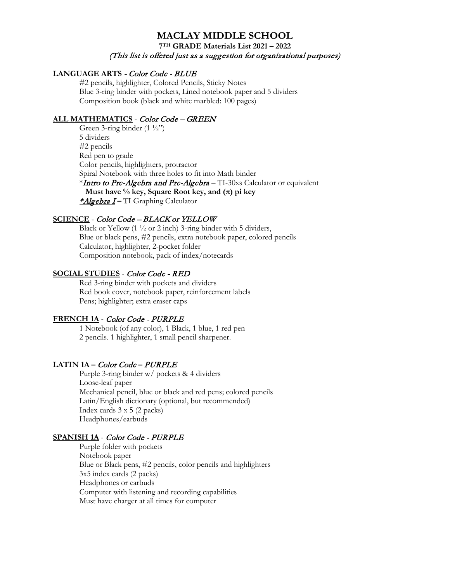### **MACLAY MIDDLE SCHOOL 7TH GRADE Materials List 2021 – 2022**

# (This list is offered just as a suggestion for organizational purposes)

### **LANGUAGE ARTS** - Color Code - BLUE

#2 pencils, highlighter, Colored Pencils, Sticky Notes Blue 3-ring binder with pockets, Lined notebook paper and 5 dividers Composition book (black and white marbled: 100 pages)

### **ALL MATHEMATICS** - Color Code – GREEN

Green 3-ring binder  $(1 \frac{1}{2})$ 5 dividers #2 pencils Red pen to grade Color pencils, highlighters, protractor Spiral Notebook with three holes to fit into Math binder \***Intro to Pre-Algebra and Pre-Algebra** – TI-30xs Calculator or equivalent **Must have % key, Square Root key, and**  $(\pi)$  **pi key** \*Algebra I **–** TI Graphing Calculator

### **SCIENCE** - Color Code – BLACK or YELLOW

Black or Yellow (1 ½ or 2 inch) 3-ring binder with 5 dividers, Blue or black pens, #2 pencils, extra notebook paper, colored pencils Calculator, highlighter, 2-pocket folder Composition notebook, pack of index/notecards

### **SOCIAL STUDIES** - Color Code - RED

Red 3-ring binder with pockets and dividers Red book cover, notebook paper, reinforcement labels Pens; highlighter; extra eraser caps

### **FRENCH 1A** - Color Code - PURPLE

1 Notebook (of any color), 1 Black, 1 blue, 1 red pen 2 pencils. 1 highlighter, 1 small pencil sharpener.

### **LATIN 1A –** Color Code **–** PURPLE

Purple 3-ring binder w/ pockets & 4 dividers Loose-leaf paper Mechanical pencil, blue or black and red pens; colored pencils Latin/English dictionary (optional, but recommended) Index cards 3 x 5 (2 packs) Headphones/earbuds

### **SPANISH 1A** - Color Code - PURPLE

Purple folder with pockets Notebook paper Blue or Black pens, #2 pencils, color pencils and highlighters 3x5 index cards (2 packs) Headphones or earbuds Computer with listening and recording capabilities Must have charger at all times for computer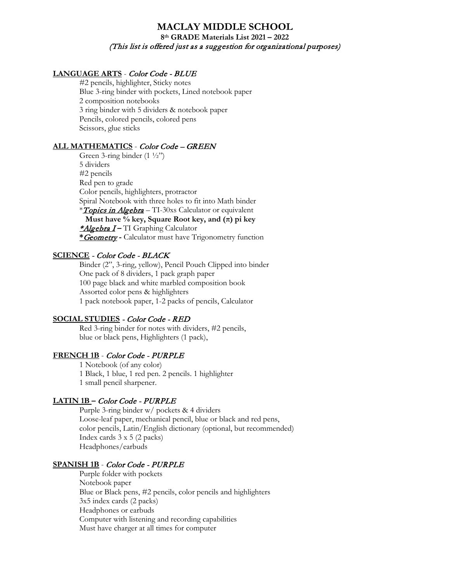### **MACLAY MIDDLE SCHOOL 8th GRADE Materials List 2021 – 2022**  (This list is offered just as a suggestion for organizational purposes)

#### **LANGUAGE ARTS** - Color Code - BLUE

#2 pencils, highlighter, Sticky notes Blue 3-ring binder with pockets, Lined notebook paper 2 composition notebooks 3 ring binder with 5 dividers & notebook paper Pencils, colored pencils, colored pens Scissors, glue sticks

#### **ALL MATHEMATICS** - Color Code – GREEN

Green 3-ring binder  $(1 \frac{1}{2})$ 5 dividers #2 pencils Red pen to grade Color pencils, highlighters, protractor Spiral Notebook with three holes to fit into Math binder *\*Topics in Algebra* – TI-30xs Calculator or equivalent  **Must have % key, Square Root key, and (π) pi key** \*Algebra I **–** TI Graphing Calculator **\***Geometry **-** Calculator must have Trigonometry function

### **SCIENCE** - Color Code - BLACK

Binder (2", 3-ring, yellow), Pencil Pouch Clipped into binder One pack of 8 dividers, 1 pack graph paper 100 page black and white marbled composition book Assorted color pens & highlighters 1 pack notebook paper, 1-2 packs of pencils, Calculator

### **SOCIAL STUDIES** - Color Code - RED

Red 3-ring binder for notes with dividers, #2 pencils, blue or black pens, Highlighters (1 pack),

# **FRENCH 1B** - Color Code - PURPLE

1 Notebook (of any color) 1 Black, 1 blue, 1 red pen. 2 pencils. 1 highlighter 1 small pencil sharpener.

#### **LATIN 1B –** Color Code - PURPLE

Purple 3-ring binder w/ pockets & 4 dividers Loose-leaf paper, mechanical pencil, blue or black and red pens, color pencils, Latin/English dictionary (optional, but recommended) Index cards 3 x 5 (2 packs) Headphones/earbuds

#### **SPANISH 1B** - Color Code - PURPLE

Purple folder with pockets Notebook paper Blue or Black pens, #2 pencils, color pencils and highlighters 3x5 index cards (2 packs) Headphones or earbuds Computer with listening and recording capabilities Must have charger at all times for computer